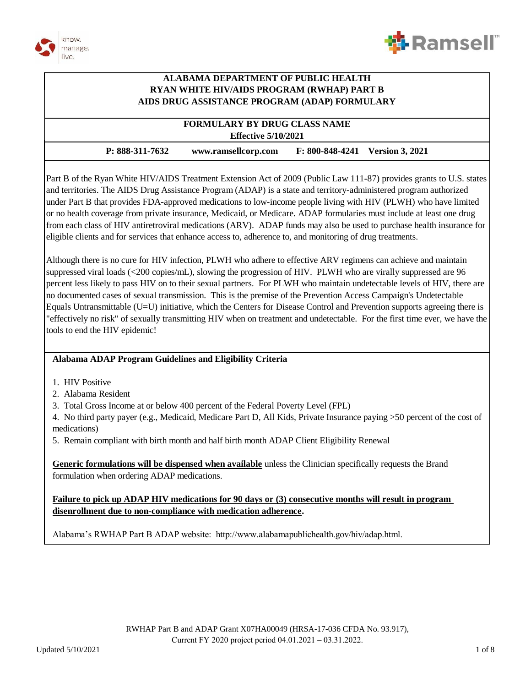



#### **FORMULARY BY DRUG CLASS NAME Effective 5/10/2021**

#### **P: 888-311-7632 www.ramsellcorp.com F: 800-848-4241 Version 3, 2021**

Part B of the Ryan White HIV/AIDS Treatment Extension Act of 2009 (Public Law 111-87) provides grants to U.S. states and territories. The AIDS Drug Assistance Program (ADAP) is a state and territory-administered program authorized under Part B that provides FDA-approved medications to low-income people living with HIV (PLWH) who have limited or no health coverage from private insurance, Medicaid, or Medicare. ADAP formularies must include at least one drug from each class of HIV antiretroviral medications (ARV). ADAP funds may also be used to purchase health insurance for eligible clients and for services that enhance access to, adherence to, and monitoring of drug treatments.

Although there is no cure for HIV infection, PLWH who adhere to effective ARV regimens can achieve and maintain suppressed viral loads (<200 copies/mL), slowing the progression of HIV. PLWH who are virally suppressed are 96 percent less likely to pass HIV on to their sexual partners. For PLWH who maintain undetectable levels of HIV, there are no documented cases of sexual transmission. This is the premise of the Prevention Access Campaign's Undetectable Equals Untransmittable (U=U) initiative, which the Centers for Disease Control and Prevention supports agreeing there is "effectively no risk" of sexually transmitting HIV when on treatment and undetectable. For the first time ever, we have the tools to end the HIV epidemic!

#### **Alabama ADAP Program Guidelines and Eligibility Criteria**

- 1. HIV Positive
- 2. Alabama Resident
- 3. Total Gross Income at or below 400 percent of the Federal Poverty Level (FPL)

4. No third party payer (e.g., Medicaid, Medicare Part D, All Kids, Private Insurance paying >50 percent of the cost of medications)

5. Remain compliant with birth month and half birth month ADAP Client Eligibility Renewal

**Generic formulations will be dispensed when available** unless the Clinician specifically requests the Brand formulation when ordering ADAP medications.

#### **Failure to pick up ADAP HIV medications for 90 days or (3) consecutive months will result in program disenrollment due to non-compliance with medication adherence.**

Alabama's RWHAP Part B ADAP website: http://www.alabamapublichealth.gov/hiv/adap.html.

Ξ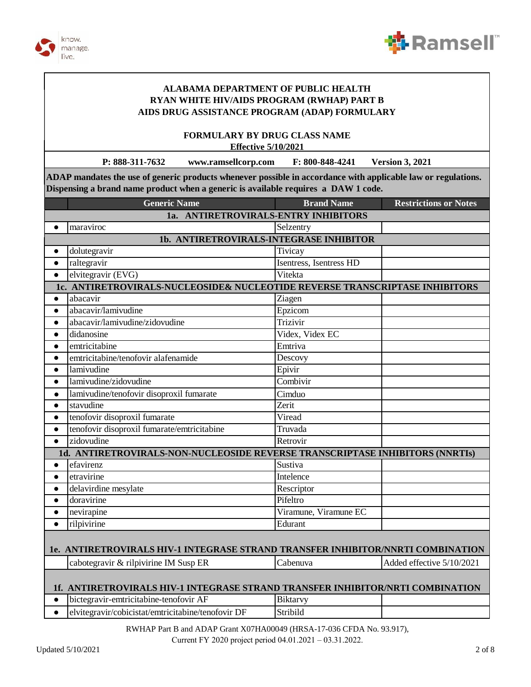



**FORMULARY BY DRUG CLASS NAME Effective 5/10/2021**

**P: 888-311-7632 www.ramsellcorp.com F: 800-848-4241 Version 3, 2021**

**ADAP mandates the use of generic products whenever possible in accordance with applicable law or regulations. Dispensing a brand name product when a generic is available requires a DAW 1 code.**

|                                                                                 | <b>Generic Name</b>                                                            | <b>Brand Name</b>       | <b>Restrictions or Notes</b> |
|---------------------------------------------------------------------------------|--------------------------------------------------------------------------------|-------------------------|------------------------------|
| 1a. ANTIRETROVIRALS-ENTRY INHIBITORS                                            |                                                                                |                         |                              |
| $\bullet$                                                                       | maraviroc                                                                      | Selzentry               |                              |
|                                                                                 | 1b. ANTIRETROVIRALS-INTEGRASE INHIBITOR                                        |                         |                              |
| $\bullet$                                                                       | dolutegravir                                                                   | Tivicay                 |                              |
| $\bullet$                                                                       | raltegravir                                                                    | Isentress, Isentress HD |                              |
| $\bullet$                                                                       | elvitegravir (EVG)                                                             | Vitekta                 |                              |
|                                                                                 | 1c. ANTIRETROVIRALS-NUCLEOSIDE& NUCLEOTIDE REVERSE TRANSCRIPTASE INHIBITORS    |                         |                              |
| $\bullet$                                                                       | abacavir                                                                       | Ziagen                  |                              |
| $\bullet$                                                                       | abacavir/lamivudine                                                            | Epzicom                 |                              |
| $\bullet$                                                                       | abacavir/lamivudine/zidovudine                                                 | Trizivir                |                              |
| $\bullet$                                                                       | didanosine                                                                     | Videx, Videx EC         |                              |
| $\bullet$                                                                       | emtricitabine                                                                  | Emtriva                 |                              |
| $\bullet$                                                                       | emtricitabine/tenofovir alafenamide                                            | Descovy                 |                              |
| $\bullet$                                                                       | lamivudine                                                                     | Epivir                  |                              |
| $\bullet$                                                                       | lamivudine/zidovudine                                                          | Combivir                |                              |
| $\bullet$                                                                       | lamivudine/tenofovir disoproxil fumarate                                       | Cimduo                  |                              |
| $\bullet$                                                                       | stavudine                                                                      | Zerit                   |                              |
| $\bullet$                                                                       | tenofovir disoproxil fumarate                                                  | Viread                  |                              |
| $\bullet$                                                                       | tenofovir disoproxil fumarate/emtricitabine                                    | Truvada                 |                              |
| $\bullet$                                                                       | zidovudine                                                                     | Retrovir                |                              |
|                                                                                 | 1d. ANTIRETROVIRALS-NON-NUCLEOSIDE REVERSE TRANSCRIPTASE INHIBITORS (NNRTIs)   |                         |                              |
| $\bullet$                                                                       | efavirenz                                                                      | Sustiva                 |                              |
| $\bullet$                                                                       | etravirine                                                                     | Intelence               |                              |
| $\bullet$                                                                       | delavirdine mesylate                                                           | Rescriptor              |                              |
| $\bullet$                                                                       | doravirine                                                                     | Pifeltro                |                              |
| $\bullet$                                                                       | nevirapine                                                                     | Viramune, Viramune EC   |                              |
| $\bullet$                                                                       | rilpivirine                                                                    | Edurant                 |                              |
|                                                                                 |                                                                                |                         |                              |
| 1e. ANTIRETROVIRALS HIV-1 INTEGRASE STRAND TRANSFER INHIBITOR/NNRTI COMBINATION |                                                                                |                         |                              |
|                                                                                 | cabotegravir & rilpivirine IM Susp ER                                          | Cabenuva                | Added effective 5/10/2021    |
|                                                                                 |                                                                                |                         |                              |
|                                                                                 | 1f. ANTIRETROVIRALS HIV-1 INTEGRASE STRAND TRANSFER INHIBITOR/NRTI COMBINATION |                         |                              |
| $\bullet$                                                                       | bictegravir-emtricitabine-tenofovir AF                                         | <b>Biktarvy</b>         |                              |
| $\bullet$                                                                       | elvitegravir/cobicistat/emtricitabine/tenofovir DF                             | Stribild                |                              |
|                                                                                 |                                                                                |                         |                              |

RWHAP Part B and ADAP Grant X07HA00049 (HRSA-17-036 CFDA No. 93.917), Current FY 2020 project period 04.01.2021 – 03.31.2022.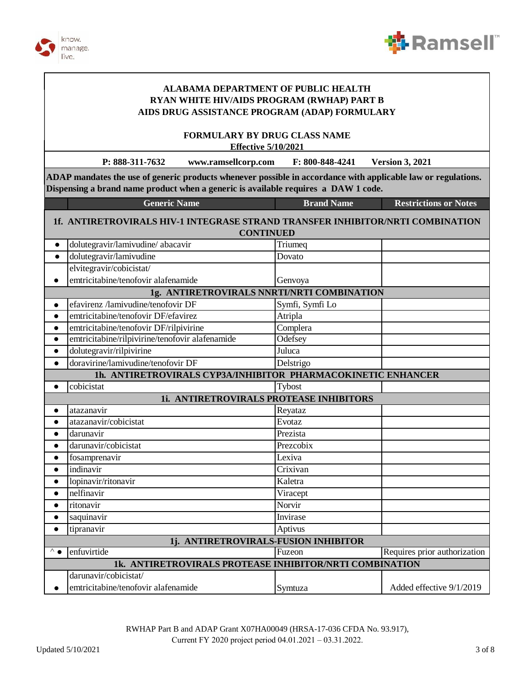



**FORMULARY BY DRUG CLASS NAME Effective 5/10/2021**

**P: 888-311-7632 www.ramsellcorp.com F: 800-848-4241 Version 3, 2021**

**ADAP mandates the use of generic products whenever possible in accordance with applicable law or regulations. Dispensing a brand name product when a generic is available requires a DAW 1 code.**

|                                                         | <b>Generic Name</b>                                                            | <b>Brand Name</b>                          | <b>Restrictions or Notes</b> |
|---------------------------------------------------------|--------------------------------------------------------------------------------|--------------------------------------------|------------------------------|
|                                                         | 1f. ANTIRETROVIRALS HIV-1 INTEGRASE STRAND TRANSFER INHIBITOR/NRTI COMBINATION |                                            |                              |
|                                                         |                                                                                | <b>CONTINUED</b>                           |                              |
| $\bullet$                                               | dolutegravir/lamivudine/ abacavir                                              | Triumeq                                    |                              |
| $\bullet$                                               | dolutegravir/lamivudine                                                        | Dovato                                     |                              |
|                                                         | elvitegravir/cobicistat/                                                       |                                            |                              |
| $\bullet$                                               | emtricitabine/tenofovir alafenamide                                            | Genvoya                                    |                              |
|                                                         |                                                                                | 1g. ANTIRETROVIRALS NNRTI/NRTI COMBINATION |                              |
| $\bullet$                                               | efavirenz /lamivudine/tenofovir DF                                             | Symfi, Symfi Lo                            |                              |
| $\bullet$                                               | emtricitabine/tenofovir DF/efavirez                                            | Atripla                                    |                              |
| $\bullet$                                               | emtricitabine/tenofovir DF/rilpivirine                                         | Complera                                   |                              |
| $\bullet$                                               | emtricitabine/rilpivirine/tenofovir alafenamide                                | <b>Odefsey</b>                             |                              |
| $\bullet$                                               | dolutegravir/rilpivirine                                                       | Juluca                                     |                              |
| $\bullet$                                               | doravirine/lamivudine/tenofovir DF                                             | Delstrigo                                  |                              |
|                                                         | 1h. ANTIRETROVIRALS CYP3A/INHIBITOR PHARMACOKINETIC ENHANCER                   |                                            |                              |
| $\bullet$                                               | cobicistat                                                                     | Tybost                                     |                              |
|                                                         |                                                                                | 1i. ANTIRETROVIRALS PROTEASE INHIBITORS    |                              |
| $\bullet$                                               | atazanavir                                                                     | Reyataz                                    |                              |
| $\bullet$                                               | atazanavir/cobicistat                                                          | Evotaz                                     |                              |
| $\bullet$                                               | darunavir                                                                      | Prezista                                   |                              |
| $\bullet$                                               | darunavir/cobicistat                                                           | Prezcobix                                  |                              |
| $\bullet$                                               | fosamprenavir                                                                  | Lexiva                                     |                              |
| $\bullet$                                               | indinavir                                                                      | Crixivan                                   |                              |
| $\bullet$                                               | lopinavir/ritonavir                                                            | Kaletra                                    |                              |
| $\bullet$                                               | nelfinavir                                                                     | Viracept                                   |                              |
| $\bullet$                                               | ritonavir                                                                      | Norvir                                     |                              |
| $\bullet$                                               | saquinavir                                                                     | Invirase                                   |                              |
| $\bullet$                                               | tipranavir                                                                     | Aptivus                                    |                              |
| 1j. ANTIRETROVIRALS-FUSION INHIBITOR                    |                                                                                |                                            |                              |
| $^{\wedge}$ $\bullet$                                   | enfuvirtide                                                                    | Fuzeon                                     | Requires prior authorization |
| 1k. ANTIRETROVIRALS PROTEASE INHIBITOR/NRTI COMBINATION |                                                                                |                                            |                              |
|                                                         | darunavir/cobicistat/                                                          |                                            |                              |
|                                                         | emtricitabine/tenofovir alafenamide                                            | Symtuza                                    | Added effective 9/1/2019     |

RWHAP Part B and ADAP Grant X07HA00049 (HRSA-17-036 CFDA No. 93.917), Current FY 2020 project period 04.01.2021 – 03.31.2022.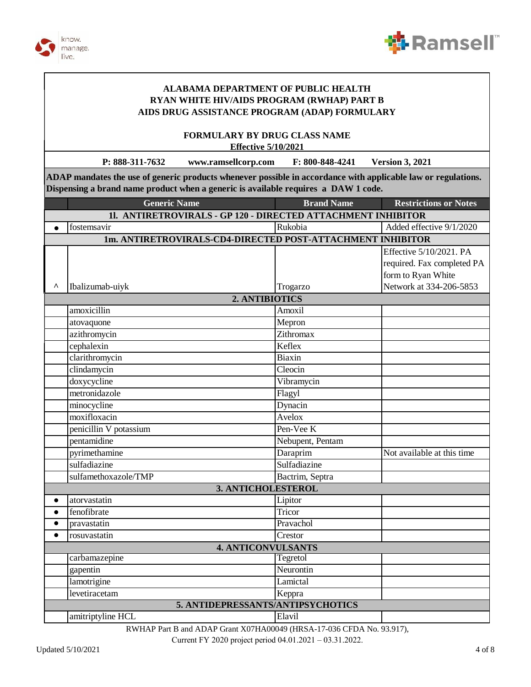



**FORMULARY BY DRUG CLASS NAME Effective 5/10/2021** 

P: 888-311-7632 www.ramsellcorp.com F: 800-848-4241 **Version 3, 2021** 

ADAP mandates the use of generic products whenever possible in accordance with applicable law or regulations. Dispensing a brand name product when a generic is available requires a DAW 1 code.

|           | <b>Generic Name</b>                                          | <b>Brand Name</b> | <b>Restrictions or Notes</b> |  |
|-----------|--------------------------------------------------------------|-------------------|------------------------------|--|
|           | 11. ANTIRETROVIRALS - GP 120 - DIRECTED ATTACHMENT INHIBITOR |                   |                              |  |
|           | fostemsavir                                                  | Rukobia           | Added effective 9/1/2020     |  |
|           | 1m. ANTIRETROVIRALS-CD4-DIRECTED POST-ATTACHMENT INHIBITOR   |                   |                              |  |
|           |                                                              |                   | Effective 5/10/2021. PA      |  |
|           |                                                              |                   | required. Fax completed PA   |  |
|           |                                                              |                   | form to Ryan White           |  |
| Λ         | Ibalizumab-uiyk                                              | Trogarzo          | Network at 334-206-5853      |  |
|           | 2. ANTIBIOTICS                                               |                   |                              |  |
|           | amoxicillin                                                  | Amoxil            |                              |  |
|           | atovaquone                                                   | Mepron            |                              |  |
|           | azithromycin                                                 | Zithromax         |                              |  |
|           | cephalexin                                                   | Keflex            |                              |  |
|           | clarithromycin                                               | <b>Biaxin</b>     |                              |  |
|           | clindamycin                                                  | Cleocin           |                              |  |
|           | doxycycline                                                  | Vibramycin        |                              |  |
|           | metronidazole                                                | Flagyl            |                              |  |
|           | minocycline                                                  | Dynacin           |                              |  |
|           | moxifloxacin                                                 | Avelox            |                              |  |
|           | penicillin V potassium                                       | Pen-Vee K         |                              |  |
|           | pentamidine                                                  | Nebupent, Pentam  |                              |  |
|           | pyrimethamine                                                | Daraprim          | Not available at this time   |  |
|           | sulfadiazine                                                 | Sulfadiazine      |                              |  |
|           | sulfamethoxazole/TMP                                         | Bactrim, Septra   |                              |  |
|           | 3. ANTICHOLESTEROL                                           |                   |                              |  |
| $\bullet$ | atorvastatin                                                 | Lipitor           |                              |  |
| $\bullet$ | fenofibrate                                                  | Tricor            |                              |  |
| $\bullet$ | pravastatin                                                  | Pravachol         |                              |  |
| $\bullet$ | rosuvastatin                                                 | Crestor           |                              |  |
|           | <b>4. ANTICONVULSANTS</b>                                    |                   |                              |  |
|           | carbamazepine                                                | Tegretol          |                              |  |
|           | gapentin                                                     | Neurontin         |                              |  |
|           | lamotrigine                                                  | Lamictal          |                              |  |
|           | levetiracetam                                                | Keppra            |                              |  |
|           | 5. ANTIDEPRESSANTS/ANTIPSYCHOTICS                            |                   |                              |  |
|           | amitriptyline HCL                                            | Elavil            |                              |  |

RWHAP Part B and ADAP Grant X07HA00049 (HRSA-17-036 CFDA No. 93.917),

Current FY 2020 project period 04.01.2021 - 03.31.2022.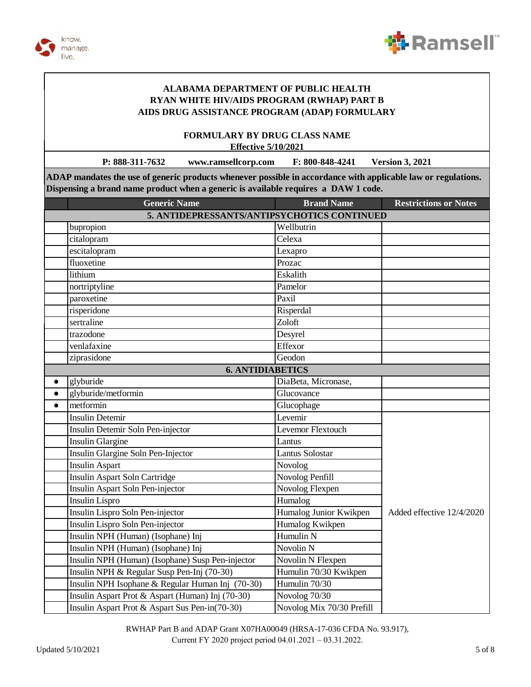



**FORMULARY BY DRUG CLASS NAME Effective 5/10/2021**

**P: 888-311-7632 www.ramsellcorp.com F: 800-848-4241 Version 3, 2021**

**ADAP mandates the use of generic products whenever possible in accordance with applicable law or regulations. Dispensing a brand name product when a generic is available requires a DAW 1 code.**

|           | <b>Generic Name</b>                              | <b>Brand Name</b>         | <b>Restrictions or Notes</b> |
|-----------|--------------------------------------------------|---------------------------|------------------------------|
|           | 5. ANTIDEPRESSANTS/ANTIPSYCHOTICS CONTINUED      |                           |                              |
|           | bupropion                                        | Wellbutrin                |                              |
|           | citalopram                                       | Celexa                    |                              |
|           | escitalopram                                     | Lexapro                   |                              |
|           | fluoxetine                                       | Prozac                    |                              |
|           | lithium                                          | Eskalith                  |                              |
|           | nortriptyline                                    | Pamelor                   |                              |
|           | paroxetine                                       | Paxil                     |                              |
|           | risperidone                                      | Risperdal                 |                              |
|           | sertraline                                       | Zoloft                    |                              |
|           | trazodone                                        | Desyrel                   |                              |
|           | venlafaxine                                      | Effexor                   |                              |
|           | ziprasidone                                      | Geodon                    |                              |
|           | <b>6. ANTIDIABETICS</b>                          |                           |                              |
| $\bullet$ | glyburide                                        | DiaBeta, Micronase,       |                              |
| $\bullet$ | glyburide/metformin                              | Glucovance                |                              |
| $\bullet$ | metformin                                        | Glucophage                |                              |
|           | <b>Insulin Detemir</b>                           | Levemir                   |                              |
|           | Insulin Detemir Soln Pen-injector                | Levemor Flextouch         |                              |
|           | <b>Insulin Glargine</b>                          | Lantus                    |                              |
|           | Insulin Glargine Soln Pen-Injector               | <b>Lantus Solostar</b>    |                              |
|           | <b>Insulin Aspart</b>                            | Novolog                   |                              |
|           | <b>Insulin Aspart Soln Cartridge</b>             | Novolog Penfill           |                              |
|           | Insulin Aspart Soln Pen-injector                 | Novolog Flexpen           |                              |
|           | <b>Insulin Lispro</b>                            | Humalog                   |                              |
|           | Insulin Lispro Soln Pen-injector                 | Humalog Junior Kwikpen    | Added effective 12/4/2020    |
|           | Insulin Lispro Soln Pen-injector                 | Humalog Kwikpen           |                              |
|           | Insulin NPH (Human) (Isophane) Inj               | Humulin N                 |                              |
|           | Insulin NPH (Human) (Isophane) Inj               | Novolin <sub>N</sub>      |                              |
|           | Insulin NPH (Human) (Isophane) Susp Pen-injector | Novolin N Flexpen         |                              |
|           | Insulin NPH & Regular Susp Pen-Inj (70-30)       | Humulin 70/30 Kwikpen     |                              |
|           | Insulin NPH Isophane & Regular Human Inj (70-30) | Humulin 70/30             |                              |
|           | Insulin Aspart Prot & Aspart (Human) Inj (70-30) | Novolog 70/30             |                              |
|           | Insulin Aspart Prot & Aspart Sus Pen-in(70-30)   | Novolog Mix 70/30 Prefill |                              |

RWHAP Part B and ADAP Grant X07HA00049 (HRSA-17-036 CFDA No. 93.917), Current FY 2020 project period 04.01.2021 – 03.31.2022.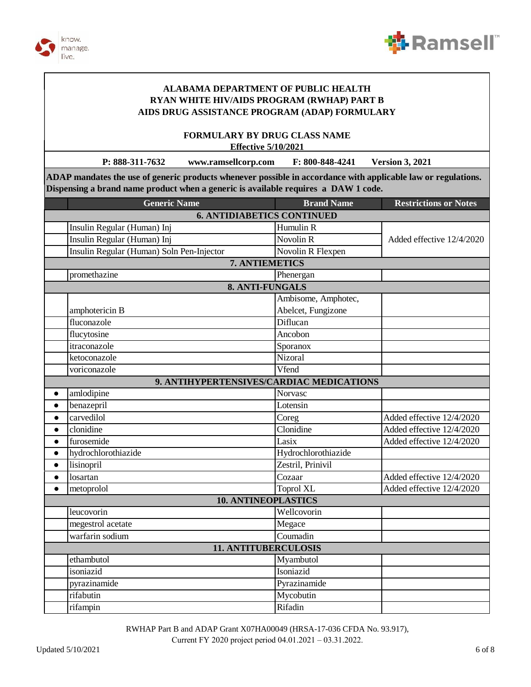



**FORMULARY BY DRUG CLASS NAME Effective 5/10/2021**

**P: 888-311-7632 www.ramsellcorp.com F: 800-848-4241 Version 3, 2021**

**ADAP mandates the use of generic products whenever possible in accordance with applicable law or regulations. Dispensing a brand name product when a generic is available requires a DAW 1 code.**

|                             | <b>Generic Name</b>                       | <b>Brand Name</b>   | <b>Restrictions or Notes</b> |
|-----------------------------|-------------------------------------------|---------------------|------------------------------|
|                             | <b>6. ANTIDIABETICS CONTINUED</b>         |                     |                              |
|                             | Insulin Regular (Human) Inj               | Humulin R           |                              |
|                             | Insulin Regular (Human) Inj               | <b>Novolin R</b>    | Added effective 12/4/2020    |
|                             | Insulin Regular (Human) Soln Pen-Injector | Novolin R Flexpen   |                              |
|                             | 7. ANTIEMETICS                            |                     |                              |
|                             | promethazine                              | Phenergan           |                              |
|                             | 8. ANTI-FUNGALS                           |                     |                              |
|                             |                                           | Ambisome, Amphotec, |                              |
|                             | amphotericin B                            | Abelcet, Fungizone  |                              |
|                             | fluconazole                               | Diflucan            |                              |
|                             | flucytosine                               | Ancobon             |                              |
|                             | itraconazole                              | Sporanox            |                              |
|                             | ketoconazole                              | Nizoral             |                              |
|                             | voriconazole                              | Vfend               |                              |
|                             | 9. ANTIHYPERTENSIVES/CARDIAC MEDICATIONS  |                     |                              |
| $\bullet$                   | amlodipine                                | <b>Norvasc</b>      |                              |
| $\bullet$                   | benazepril                                | Lotensin            |                              |
| $\bullet$                   | carvedilol                                | Coreg               | Added effective 12/4/2020    |
| $\bullet$                   | clonidine                                 | Clonidine           | Added effective 12/4/2020    |
| $\bullet$                   | furosemide                                | Lasix               | Added effective 12/4/2020    |
| $\bullet$                   | hydrochlorothiazide                       | Hydrochlorothiazide |                              |
| $\bullet$                   | lisinopril                                | Zestril, Prinivil   |                              |
| $\bullet$                   | losartan                                  | Cozaar              | Added effective 12/4/2020    |
| $\bullet$                   | metoprolol                                | <b>Toprol XL</b>    | Added effective 12/4/2020    |
|                             | <b>10. ANTINEOPLASTICS</b>                |                     |                              |
|                             | leucovorin                                | Wellcovorin         |                              |
|                             | megestrol acetate                         | Megace              |                              |
|                             | warfarin sodium                           | Coumadin            |                              |
| <b>11. ANTITUBERCULOSIS</b> |                                           |                     |                              |
|                             | ethambutol                                | Myambutol           |                              |
|                             | isoniazid                                 | Isoniazid           |                              |
|                             | pyrazinamide                              | Pyrazinamide        |                              |
|                             | rifabutin                                 | Mycobutin           |                              |
|                             | rifampin                                  | Rifadin             |                              |

RWHAP Part B and ADAP Grant X07HA00049 (HRSA-17-036 CFDA No. 93.917),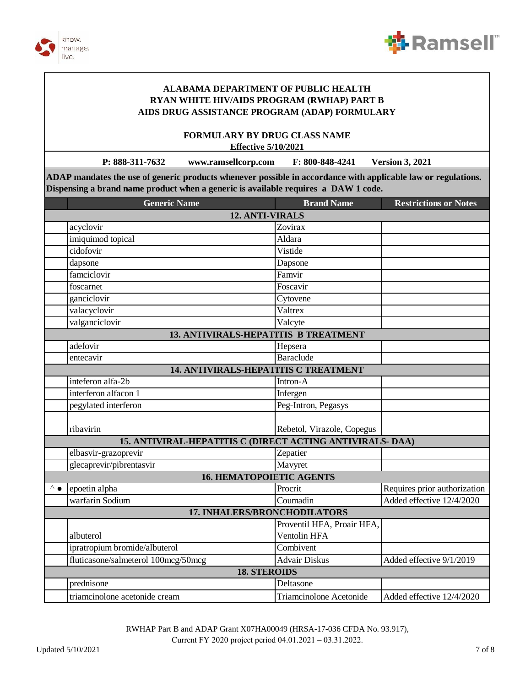



**FORMULARY BY DRUG CLASS NAME Effective 5/10/2021** 

P: 888-311-7632 www.ramsellcorp.com F: 800-848-4241 **Version 3, 2021** 

ADAP mandates the use of generic products whenever possible in accordance with applicable law or regulations. Dispensing a brand name product when a generic is available requires a DAW 1 code.

|                                                          | <b>Generic Name</b>                         | <b>Brand Name</b>             | <b>Restrictions or Notes</b> |  |  |
|----------------------------------------------------------|---------------------------------------------|-------------------------------|------------------------------|--|--|
|                                                          | 12. ANTI-VIRALS                             |                               |                              |  |  |
|                                                          | acyclovir                                   | Zovirax                       |                              |  |  |
|                                                          | imiquimod topical                           | Aldara                        |                              |  |  |
|                                                          | cidofovir                                   | Vistide                       |                              |  |  |
|                                                          | dapsone                                     | Dapsone                       |                              |  |  |
|                                                          | famciclovir                                 | Famvir                        |                              |  |  |
|                                                          | foscarnet                                   | $\overline{\text{F}}$ oscavir |                              |  |  |
|                                                          | ganciclovir                                 | Cytovene                      |                              |  |  |
|                                                          | valacyclovir                                | Valtrex                       |                              |  |  |
|                                                          | valganciclovir                              | Valcyte                       |                              |  |  |
|                                                          | <b>13. ANTIVIRALS-HEPATITIS B TREATMENT</b> |                               |                              |  |  |
|                                                          | adefovir                                    | Hepsera                       |                              |  |  |
|                                                          | entecavir                                   | <b>Baraclude</b>              |                              |  |  |
|                                                          | 14. ANTIVIRALS-HEPATITIS C TREATMENT        |                               |                              |  |  |
|                                                          | inteferon alfa-2b                           | Intron-A                      |                              |  |  |
|                                                          | interferon alfacon 1                        | Infergen                      |                              |  |  |
|                                                          | pegylated interferon                        | Peg-Intron, Pegasys           |                              |  |  |
|                                                          |                                             |                               |                              |  |  |
|                                                          | ribavirin                                   | Rebetol, Virazole, Copegus    |                              |  |  |
| 15. ANTIVIRAL-HEPATITIS C (DIRECT ACTING ANTIVIRALS-DAA) |                                             |                               |                              |  |  |
|                                                          | elbasvir-grazoprevir                        | Zepatier                      |                              |  |  |
|                                                          | glecaprevir/pibrentasvir                    | Mavyret                       |                              |  |  |
| <b>16. HEMATOPOIETIC AGENTS</b>                          |                                             |                               |                              |  |  |
| ⊼∙                                                       | epoetin alpha                               | Procrit                       | Requires prior authorization |  |  |
|                                                          | warfarin Sodium                             | Coumadin                      | Added effective 12/4/2020    |  |  |
|                                                          | <b>17. INHALERS/BRONCHODILATORS</b>         |                               |                              |  |  |
|                                                          |                                             | Proventil HFA, Proair HFA,    |                              |  |  |
|                                                          | albuterol                                   | Ventolin HFA                  |                              |  |  |
|                                                          | ipratropium bromide/albuterol               | Combivent                     |                              |  |  |
|                                                          | fluticasone/salmeterol 100mcg/50mcg         | <b>Advair Diskus</b>          | Added effective 9/1/2019     |  |  |
| <b>18. STEROIDS</b>                                      |                                             |                               |                              |  |  |
|                                                          | prednisone                                  | Deltasone                     |                              |  |  |
|                                                          | triamcinolone acetonide cream               | Triamcinolone Acetonide       | Added effective 12/4/2020    |  |  |

RWHAP Part B and ADAP Grant X07HA00049 (HRSA-17-036 CFDA No. 93.917), Current FY 2020 project period 04.01.2021 - 03.31.2022.